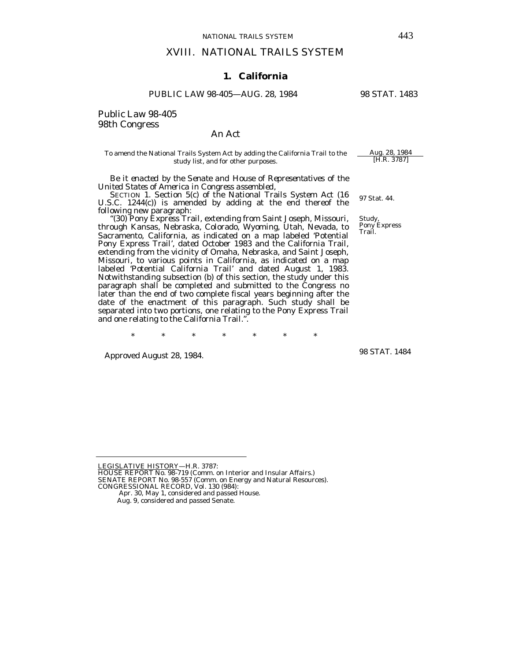## XVIII. NATIONAL TRAILS SYSTEM

## **1. California**

#### PUBLIC LAW 98-405—AUG. 28, 1984 98 STAT. 1483

Public Law 98-405 98th Congress

# An Act

#### To amend the National Trails System Act by adding the California Trail to the  $\frac{\text{Aug. 28, 1984}}{[\text{H.R. 3787}]}$ study list, and for other purposes.

 *Be it enacted by the Senate and House of Representatives of the United States of America in Congress assembled*,

U.S.C. 1244 $(c)$ ) is amended by adding at the end thereof the following new paragraph:

 "(30) Pony Express Trail, extending from Saint Joseph, Missouri, through Kansas, Nebraska, Colorado, Wyoming, Utah, Nevada, to Sacramento, California, as indicated on a map labeled 'Potential Pony Express Trail', dated October 1983 and the California Trail, extending from the vicinity of Omaha, Nebraska, and Saint Joseph, Missouri, to various points in California, as indicated on a map labeled 'Potential California Trail' and dated August 1, 1983. Notwithstanding subsection (b) of this section, the study under this paragraph shall be completed and submitted to the Congress no later than the end of two complete fiscal years beginning after the date of the enactment of this paragraph. Such study shall be separated into two portions, one relating to the Pony Express Trail and one relating to the California Trail.".

\* \* \* \* \* \* \*

Approved August 28, 1984.

<u>LEGISLATIVE HISTORY</u>—H.R. 3787:<br>HOUSE REPORT No. 98-719 (Comm. on Interior and Insular Affairs.) SENATE REPORT No. 98-557 (Comm. on Energy and Natural Resources).

97 Stat. 44.

Study, Pony Express Trail.

98 STAT. 1484

CONGRESSIONAL RECORD, Vol. 130 (984):

Apr. 30, May 1, considered and passed House.

Aug. 9, considered and passed Senate.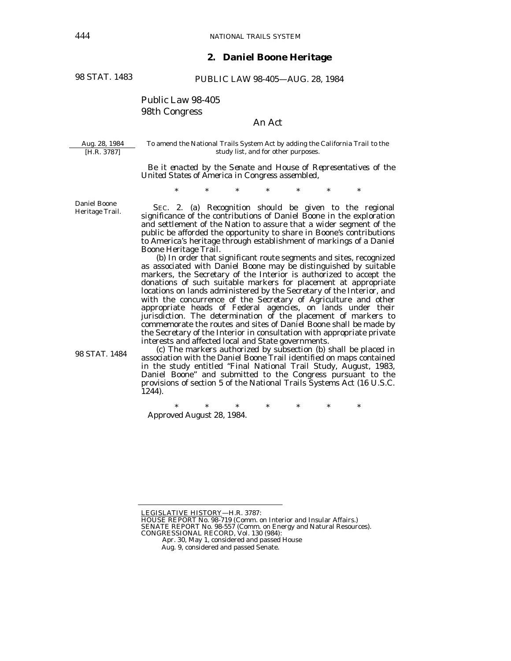### **2. Daniel Boone Heritage**

98 STAT. 1483

PUBLIC LAW 98-405—AUG. 28, 1984

# Public Law 98-405 98th Congress

# An Act

Aug. 28, 1984 [H.R. 3787]

To amend the National Trails System Act by adding the California Trail to the study list, and for other purposes.

 *Be it enacted by the Senate and House of Representatives of the United States of America in Congress assembled,* 

\* \* \* \* \* \* \*

Daniel Boone Heritage Trail.

98 STAT. 1484

 SEC. 2. (a) Recognition should be given to the regional significance of the contributions of Daniel Boone in the exploration and settlement of the Nation to assure that a wider segment of the public be afforded the opportunity to share in Boone's contributions to America's heritage through establishment of markings of a Daniel Boone Heritage Trail.

 (b) In order that significant route segments and sites, recognized as associated with Daniel Boone may be distinguished by suitable markers, the Secretary of the Interior is authorized to accept the donations of such suitable markers for placement at appropriate locations on lands administered by the Secretary of the Interior, and with the concurrence of the Secretary of Agriculture and other appropriate heads of Federal agencies, on lands under their jurisdiction. The determination of the placement of markers to commemorate the routes and sites of Daniel Boone shall be made by the Secretary of the Interior in consultation with appropriate private interests and affected local and State governments.

 (c) The markers authorized by subsection (b) shall be placed in association with the Daniel Boone Trail identified on maps contained in the study entitled "Final National Trail Study, August, 1983, Daniel Boone" and submitted to the Congress pursuant to the provisions of section 5 of the National Trails Systems Act (16 U.S.C. 1244).

\* \* \* \* \* \* \* Approved August 28, 1984.

LEGISLATIVE HISTORY—H.R. 3787:

HOUSE REPORT No. 98-719 (Comm. on Interior and Insular Affairs.)

SENATE REPORT No. 98-557 (Comm. on Energy and Natural Resources). CONGRESSIONAL RECORD, Vol. 130 (984):

Apr. 30, May 1, considered and passed House

Aug. 9, considered and passed Senate.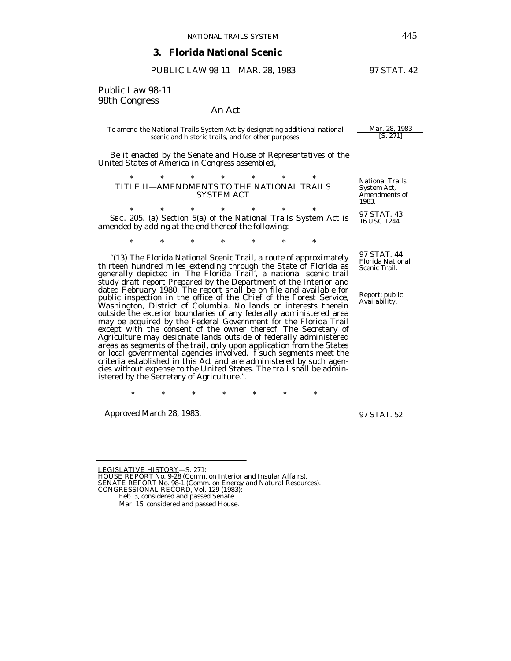#### **3. Florida National Scenic**

#### PUBLIC LAW 98-11—MAR. 28, 1983 97 STAT. 42

Public Law 98-11 98th Congress

#### An Act

#### To amend the National Trails System Act by designating additional national  $\frac{\text{Mar. 28, 1983}}{[\text{S. 271}]}$ scenic and historic trails, and for other purposes.

 *Be it enacted by the Senate and House of Representatives of the United States of America in Congress assembled*,

| TITLE II—AMENDMENTS TO THE NATIONAL TRAILS |  | <b>SYSTEM ACT</b> |  | Natio<br>Svste<br>Amen |
|--------------------------------------------|--|-------------------|--|------------------------|
|                                            |  |                   |  | 1009                   |

\* \* \* \* \* \* \* SEC. 205. (a) Section 5(a) of the National Trails System Act is amended by adding at the end thereof the following:

\* \* \* \* \* \* \*

*"*(13) The Florida National Scenic Trail, a route of approximately thirteen hundred miles extending through the State of Florida as generally depicted in *'*The Florida Trail*'*, a national scenic trail study draft report Prepared by the Department of the Interior and dated February 1980. The report shall be on file and available for public inspection in the office of the Chief of the Forest Service, Washington, District of Columbia. No lands or interests therein outside the exterior boundaries of any federally administered area may be acquired by the Federal Government for the Florida Trail except with the consent of the owner thereof. The Secretary of Agriculture may designate lands outside of federally administered areas as segments of the trail, only upon application from the States or local governmental agencies involved, if such segments meet the criteria established in this Act and are administered by such agencies without expense to the United States. The trail shall be administered by the Secretary of Agriculture.*"*.

\* \* \* \* \* \* \*

Approved March 28, 1983.

97 STAT. 52

LEGISLATIVE HISTORY—S. 271:

HOUSE REPORT No. 9-28 (Comm. on Interior and Insular Affairs). SENATE REPORT No. 98-1 (Comm. on Energy and Natural Resources).

nal Trails em Act, Amendments of 1983.

97 STAT. 43 16 USC 1244.

97 STAT. 44 Florida National Scenic Trail.

Report; public Availability.

CONGRESSIONAL RECORD, Vol. 129 (1983):

Feb. 3, considered and passed Senate.

Mar. 15. considered and passed House.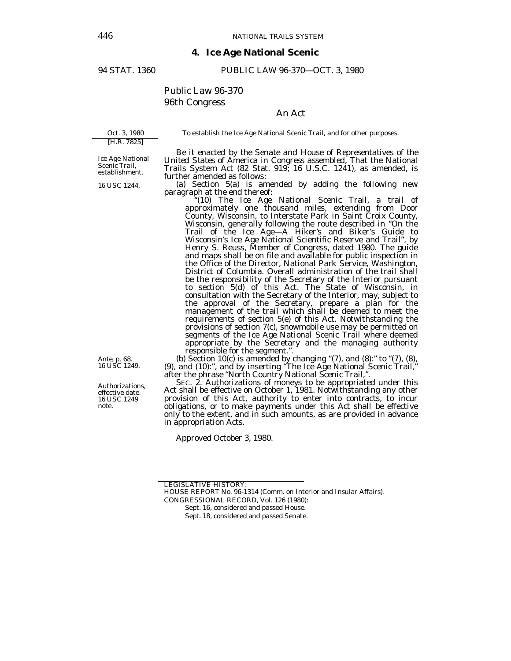#### **4. Ice Age National Scenic**

#### 94 STAT. 1360 PUBLIC LAW 96-370—OCT. 3, 1980

# Public Law 96-370 96th Congress

# An Act

To establish the Ice Age National Scenic Trail, and for other purposes.

[H.R. 7825] Ice Age National Scenic Trail,

establishment.

*Ante*, p. 68. 16 USC 1249.

Authorizations, effective date. 16 USC 1249 note.

Oct. 3, 1980

 *Be it enacted by the Senate and House of Representatives of the United States of America in Congress assembled,* That the National Trails System Act (82 Stat. 919; 16 U.S.C. 1241), as amended, is further amended as follows:

16 USC 1244.

(a) Section 5(a) is amended by adding the following new

" $(10)$  The Ice Age National Scenic Trail, a trail of approximately one thousand miles, extending from Door County, Wisconsin, to Interstate Park in Saint Croix County, Wisconsin, generally following the route described in "On the Trail of the Ice Age—A Hiker's and Biker's Guide to Wisconsin's Ice Age National Scientific Reserve and Trail", by Henry S. Reuss, Member of Congress, dated 1980. The guide and maps shall be on file and available for public inspection in the Office of the Director, National Park Service, Washington, District of Columbia. Overall administration of the trail shall be the responsibility of the Secretary of the Interior pursuant to section 5(d) of this Act. The State of Wisconsin, in consultation with the Secretary of the Interior, may, subject to the approval of the Secretary, prepare a plan for the management of the trail which shall be deemed to meet the requirements of section 5(e) of this Act. Notwithstanding the provisions of section 7(c), snowmobile use may be permitted on segments of the Ice Age National Scenic Trail where deemed appropriate by the Secretary and the managing authority responsible for the segment.". (b) Section 10(c) is amended by changing "(7), and (8):" to "(7), (8),

(9), and (10):", and by inserting "The Ice Age National Scenic Trail," after the phrase "North Country National Scenic Trail,".

Act shall be effective on October 1, 1981. Notwithstanding any other provision of this Act, authority to enter into contracts, to incur obligations, or to make payments under this Act shall be effective only to the extent, and in such amounts, as are provided in advance in appropriation Acts.

Approved October 3, 1980.

LEGISLATIVE HISTORY:

HOUSE REPORT No. 96-1314 (Comm. on Interior and Insular Affairs).

CONGRESSIONAL RECORD, Vol. 126 (1980):

Sept. 16, considered and passed House.

Sept. 18, considered and passed Senate.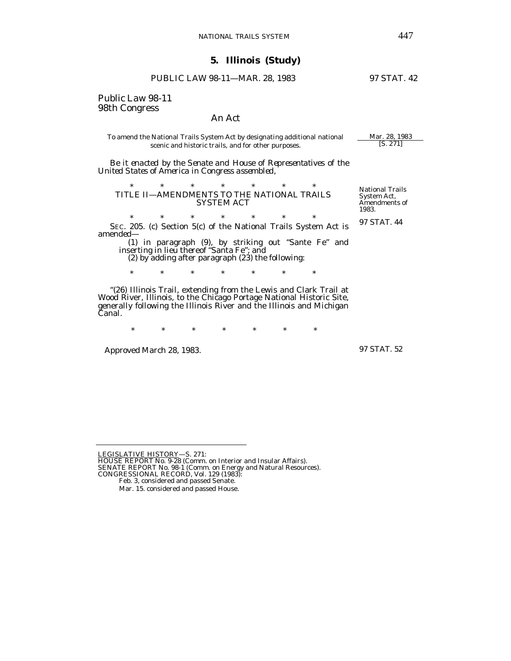# PUBLIC LAW 98-11—MAR. 28, 1983 97 STAT. 42

Public Law 98-11 98th Congress

#### An Act

To amend the National Trails System Act by designating additional national  $\frac{Mar. 28, 1983}{[S. 271]}$ scenic and historic trails, and for other purposes.

 *Be it enacted by the Senate and House of Representatives of the United States of America in Congress assembled*,

\* \* \* \* \* \* \* TITLE II—AMENDMENTS TO THE NATIONAL TRAILS SYSTEM ACT

\* \* \* \* \* \* \* SEC. 205. (c) Section 5(c) of the National Trails System Act is amended—

 (1) in paragraph (9), by striking out *"*Sante Fe*"* and inserting in lieu thereof *"*Santa Fe*"*; and

(2) by adding after paragraph (23) the following:

\* \* \* \* \* \* \*

*"*(26) Illinois Trail, extending from the Lewis and Clark Trail at Wood River, Illinois, to the Chicago Portage National Historic Site, generally following the Illinois River and the Illinois and Michigan Canal.

\* \* \* \* \* \* \*

Approved March 28, 1983.

97 STAT. 52

National Trails System Act, Amendments of

97 STAT. 44

1983.

<sup>&</sup>lt;u>LEGISLATIVE HISTORY</u>—S. 271:<br>HOUSE REPORT No. 9-28 (Comm. on Interior and Insular Affairs).<br>SENATE REPORT No. 98-1 (Comm. on Energy and Natural Resources).

CONGRESSIONAL RECORD, Vol. 129 (1983): Feb. 3, considered and passed Senate.

Mar. 15. considered and passed House.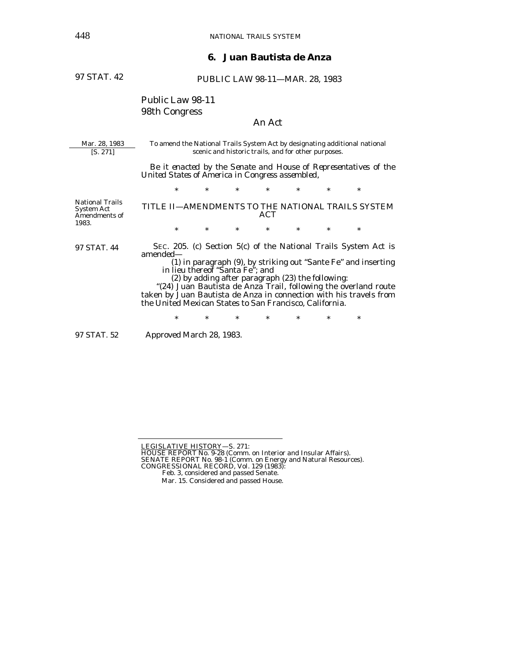## **6. Juan Bautista de Anza**

97 STAT. 42

PUBLIC LAW 98-11—MAR. 28, 1983

# Public Law 98-11 98th Congress

# An Act

Mar. 28, 1983 [S. 271] To amend the National Trails System Act by designating additional national scenic and historic trails, and for other purposes. National Trails System Act Amendments of 1983. 97 STAT. 44 97 STAT. 52  *Be it enacted by the Senate and House of Representatives of the United States of America in Congress assembled,*  \* \* \* \* \* \* \* TITLE II—AMENDMENTS TO THE NATIONAL TRAILS SYSTEM ACT \* \* \* \* \* \* \* SEC. 205. (c) Section 5(c) of the National Trails System Act is amended— (1) in paragraph (9), by striking out *"*Sante Fe*"* and inserting in lieu thereof *"*Santa Fe*"*; and (2) by adding after paragraph (23) the following: *"*(24) Juan Bautista de Anza Trail, following the overland route taken by Juan Bautista de Anza in connection with his travels from the United Mexican States to San Francisco, California. \* \* \* \* \* \* \* Approved March 28, 1983.

LEGISLATIVE HISTORY—S. 271:<br>HOUSE REPORT No. 9-28 (Comm. on Interior and Insular Affairs). SENATE REPORT No. 98-1 (Comm. on Energy and Natural Resources). CONGRESSIONAL RECORD, Vol. 129 (1983):

Feb. 3, considered and passed Senate.

Mar. 15. Considered and passed House.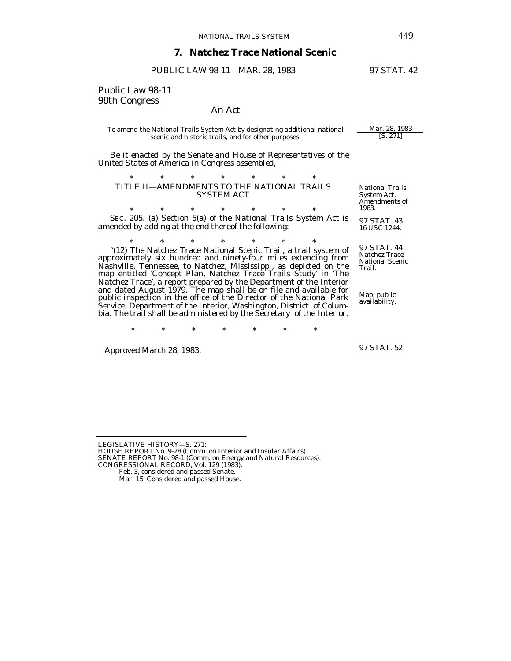#### **7. Natchez Trace National Scenic**

PUBLIC LAW 98-11-MAR. 28, 1983 97 STAT. 42

Public Law 98-11 98th Congress

## An Act

To amend the National Trails System Act by designating additional national <u>Mar. 28, 1983</u><br>scenic and historic trails, and for other nurnoses. [S. 271] scenic and historic trails, and for other purposes.

 *Be it enacted by the Senate and House of Representatives of the United States of America in Congress assembled*,

#### \* \* \* \* \* \* \* TITLE II—AMENDMENTS TO THE NATIONAL TRAILS SYSTEM ACT

\* \* \* \* \* \* \* SEC. 205. (a) Section 5(a) of the National Trails System Act is amended by adding at the end thereof the following:

"(12) The Natchez Trace National Scenic Trail, a trail system of approximately six hundred and ninety-four miles extending from Nashville, Tennessee, to Natchez, Mississippi, as depicted on the map entitled *'*Concept Plan, Natchez Trace Trails Study*'* in *'*The Natchez Trace*'*, a report prepared by the Department of the Interior and dated August 1979. The map shall be on file and available for public inspection in the office of the Director of the National Park Service, Department of the Interior, Washington, District of Columbia. The trail shall be administered by the Secretary of the Interior.

\* \* \* \* \* \* \*

Approved March 28, 1983.

97 STAT. 52

HOUSE REPORT No. 9-28 (Comm. on Interior and Insular Affairs). SENATE REPORT No. 98-1 (Comm. on Energy and Natural Resources).

- Feb. 3, considered and passed Senate.
- Mar. 15. Considered and passed House.

National Trails System Act, Amendments of 1983.

97 STAT. 43 16 USC 1244.

97 STAT. 44 Natchez Trace National Scenic Trail.

Map; public availability.

LEGISLATIVE HISTORY—S. 271:

CONGRESSIONAL RECORD, Vol. 129 (1983):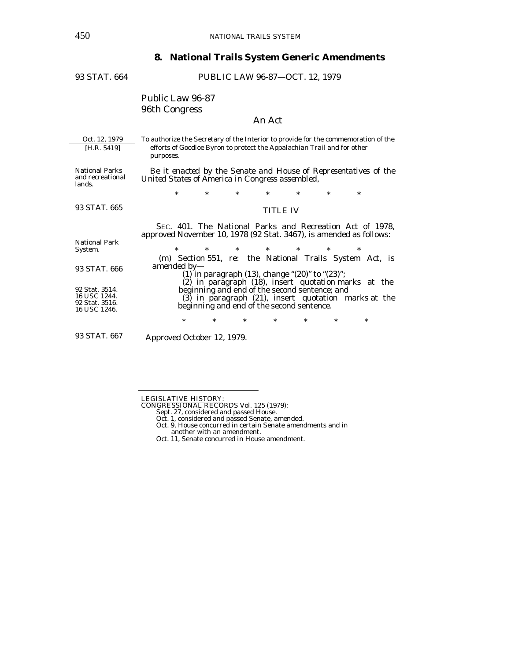# **8. National Trails System Generic Amendments**

| 93 STAT. 664                                                                                                        | PUBLIC LAW 96-87-OCT. 12, 1979                                                                                                                                                                                                                                                                                                                                                                                                                                                                                                                |  |  |  |  |
|---------------------------------------------------------------------------------------------------------------------|-----------------------------------------------------------------------------------------------------------------------------------------------------------------------------------------------------------------------------------------------------------------------------------------------------------------------------------------------------------------------------------------------------------------------------------------------------------------------------------------------------------------------------------------------|--|--|--|--|
|                                                                                                                     | <b>Public Law 96-87</b><br>96th Congress<br>An Act                                                                                                                                                                                                                                                                                                                                                                                                                                                                                            |  |  |  |  |
| Oct. 12, 1979<br>[H.R. 5419]                                                                                        | To authorize the Secretary of the Interior to provide for the commemoration of the<br>efforts of Goodloe Byron to protect the Appalachian Trail and for other<br>purposes.                                                                                                                                                                                                                                                                                                                                                                    |  |  |  |  |
| <b>National Parks</b><br>and recreational<br>lands.                                                                 | Be it enacted by the Senate and House of Representatives of the<br>United States of America in Congress assembled,                                                                                                                                                                                                                                                                                                                                                                                                                            |  |  |  |  |
|                                                                                                                     | *<br>$\ast$<br>$\ast$<br>$*$<br>$\ast$<br>$\ast$<br>$\ast$                                                                                                                                                                                                                                                                                                                                                                                                                                                                                    |  |  |  |  |
| 93 STAT. 665                                                                                                        | <b>TITLE IV</b>                                                                                                                                                                                                                                                                                                                                                                                                                                                                                                                               |  |  |  |  |
| <b>National Park</b><br>System.<br>93 STAT. 666<br>92 Stat. 3514.<br>16 USC 1244.<br>92 Stat. 3516.<br>16 USC 1246. | SEC. 401. The National Parks and Recreation Act of 1978,<br>approved November 10, 1978 (92 Stat. 3467), is amended as follows:<br>$\ast$<br>$\ast$<br>$\ast$<br>$\ast$<br>*<br>$\ast$<br>*<br>(m) Section 551, re: the National Trails System Act, is<br>amended by-<br>(1) in paragraph (13), change " $(20)$ " to " $(23)$ ";<br>(2) in paragraph (18), insert quotation marks at the<br>beginning and end of the second sentence; and<br>(3) in paragraph (21), insert quotation marks at the<br>beginning and end of the second sentence. |  |  |  |  |
| 93 STAT. 667                                                                                                        | $\ast$<br>$\ast$<br>*<br>$\ast$<br>*<br>$\ast$<br>$\ast$<br>Approved October 12, 1979.                                                                                                                                                                                                                                                                                                                                                                                                                                                        |  |  |  |  |

LEGISLATIVE HISTORY: CONGRESSIONAL RECORDS Vol. 125 (1979): Sept. 27, considered and passed House.

- Oct. 1, considered and passed Senate, amended. Oct. 9, House concurred in certain Senate amendments and in
- another with an amendment.

Oct. 11, Senate concurred in House amendment.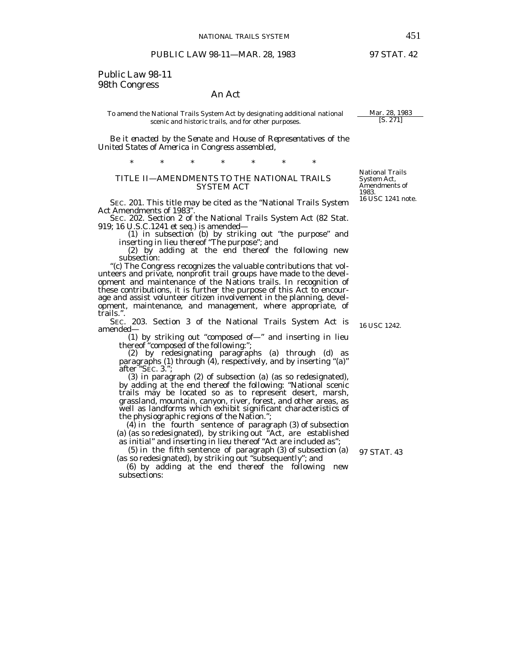# NATIONAL TRAILS SYSTEM 451<br>PUBLIC LAW 98-11—MAR. 28, 1983 97 STAT. 42

# Public Law 98-11 98th Congress

#### An Act

#### To amend the National Trails System Act by designating additional national  $\frac{\text{Mar. 28, 1983}}{\text{[S. 271]}}$ scenic and historic trails, and for other purposes.

 *Be it enacted by the Senate and House of Representatives of the United States of America in Congress assembled*,

\* \* \* \* \* \* \* TITLE II—AMENDMENTS TO THE NATIONAL TRAILS

SYSTEM ACT

SEC. 201. This title may be cited as the *"*National Trails System

SEC. 202. Section 2 of the National Trails System Act (82 Stat. 919; 16 U.S.C. 1241 et seq.) is amended— 919; 16 U.S.C.1241 et seq.) is amended— (1) in subsection (b) by striking out *"*the purpose*"* and

inserting in lieu thereof *"*The purpose*"*; and

 (2) by adding at the end thereof the following new subsection:<br>"(c) The Congress recognizes the valuable contributions that vol-

unteers and private, nonprofit trail groups have made to the development and maintenance of the Nations trails. In recognition of these contributions, it is further the purpose of this Act to encourage and assist volunteer citizen involvement in the planning, development, maintenance, and management, where appropriate, of trails.*"*.

SEC. 203. Section 3 of the National Trails System Act is amended—

 (1) by striking out *"*composed of—*"* and inserting in lieu thereof *"*composed of the following:*"*;

 (2) by redesignating paragraphs (a) through (d) as paragraphs (1) through (4), respectively, and by inserting *"*(a)*"* after *"*SEC. 3.*"*;

 (3) in paragraph (2) of subsection (a) (as so redesignated), by adding at the end thereof the following: *"*National scenic trails may be located so as to represent desert, marsh, grassland, mountain, canyon, river, forest, and other areas, as well as landforms which exhibit significant characteristics of the physiographic regions of the Nation.*"*;

 (4) in the fourth sentence of paragraph (3) of subsection (a) (as so redesignated), by striking out *"*Act, are established as initial*"* and inserting in lieu thereof *"*Act are included as*"*;

 (5) in the fifth sentence of paragraph (3) of subsection (a) (as so redesignated), by striking out *"*subsequently*"*; and

 (6) by adding at the end thereof the following new subsections:

16 USC 1242.

National Trails System Act, Amendments of 1983. 16 USC 1241 note.

97 STAT. 43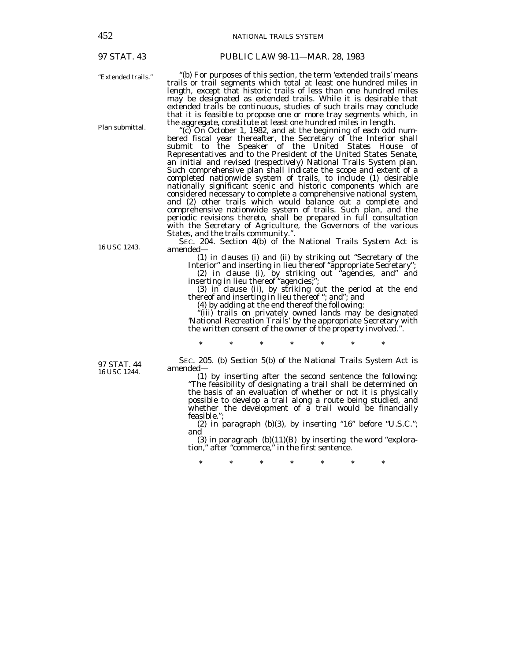97 STAT. 43

PUBLIC LAW 98-11—MAR. 28, 1983

"Extended trails."

Plan submittal.

16 USC 1243.

*"*(b) For purposes of this section, the term *'*extended trails*'* means trails or trail segments which total at least one hundred miles in length, except that historic trails of less than one hundred miles may be designated as extended trails. While it is desirable that extended trails be continuous, studies of such trails may conclude that it is feasible to propose one or more tray segments which, in the aggregate, constitute at least one hundred miles in length.

*"*(c) On October 1, 1982, and at the beginning of each odd num- bered fiscal year thereafter, the Secretary of the Interior shall submit to the Speaker of the United States House of Representatives and to the President of the United States Senate, an initial and revised (respectively) National Trails System plan. Such comprehensive plan shall indicate the scope and extent of a completed nationwide system of trails, to include (1) desirable nationally significant scenic and historic components which are considered necessary to complete a comprehensive national system, and (2) other trails which would balance out a complete and comprehensive nationwide system of trails. Such plan, and the periodic revisions thereto, shall be prepared in full consultation with the Secretary of Agriculture, the Governors of the various States, and the trails community.*"*.

SEC. 204. Section 4(b) of the National Trails System Act is amended— (1) in clauses (i) and (ii) by striking out *"*Secretary of the

Interior*"* and inserting in lieu thereof *"*appropriate Secretary*"*;

 (2) in clause (i), by striking out *"*agencies, and*"* and inserting in lieu thereof *"*agencies;*"*;

 (3) in clause (ii), by striking out the period at the end thereof and inserting in lieu thereof *"*; and*"*; and

(4) by adding at the end thereof the following:

\* \* \* \* \* \* \*

*"*(iii) trails on privately owned lands may be designated *'*National Recreation Trails*'* by the appropriate Secretary with the written consent of the owner of the property involved.*"*.

97 STAT. 44 16 USC 1244.

 SEC. 205. (b) Section 5(b) of the National Trails System Act is amended—

 (1) by inserting after the second sentence the following: *"*The feasibility of designating a trail shall be determined on the basis of an evaluation of whether or not it is physically possible to develop a trail along a route being studied, and whether the development of a trail would be financially feasible.*"*;

 (2) in paragraph (b)(3), by inserting *"*16*"* before *"*U.S.C.*"*; and

 (3) in paragraph (b)(11)(B) by inserting the word *"*explora tion,*"* after *"*commerce,*"* in the first sentence.

\* \* \* \* \* \* \*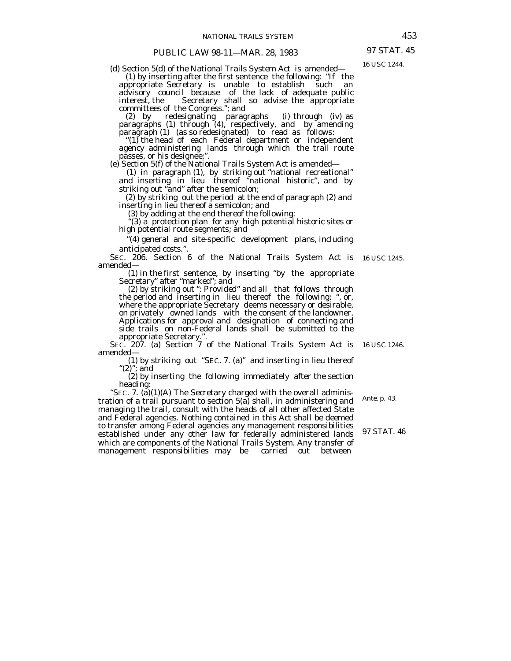(d) Section 5(d) of the National Trails System Act is amended—

 (1) by inserting after the first sentence the following: *"*If the appropriate Secretary is unable to establish such an advisory council because of the lack of adequate public interest, the Secretary shall so advise the appropriate committees of the Congress.*"*; and

 (2) by redesignating paragraphs (i) through (iv) as paragraphs (1) through (4), respectively, and by amending paragraph (1) (as so redesignated) to read as follows:<br>*"*(1) the head of each Federal department or independent

agency administering lands through which the trail route passes, or his designee;".

(e) Section 5(f) of the National Trails System Act is amended—

 (1) in paragraph (1), by striking out *"*national recreational*"* and inserting in lieu thereof *"*national historic*"*, and by striking out *"*and*"* after the semicolon;

 (2) by striking out the period at the end of paragraph (2) and inserting in lieu thereof a semicolon; and

(3) by adding at the end thereof the following:

*"*(3) a protection plan for any high potential historic sites or high potential route segments; and

 *"*(4) general and site-specific development plans, including anticipated costs.*".*

SEC. 206. Section 6 of the National Trails System Act is 16 USC 1245.<br>amended—

 (1) in the first sentence, by inserting *"*by the appropriate Secretary*"* after *"*marked*"*; and (2) by striking out *"*: *Provided"* and all that follows through

 the period and inserting in lieu thereof the following: *"*, or, where the appropriate Secretary deems necessary or desirable, on privately owned lands with the consent of the landowner. Applications for approval and designation of connecting and side trails on non-Federal lands shall be submitted to the

appropriate Secretary.*"*.<br>SEC. 207. (a) Section 7 of the National Trails System Act is 16 USC 1246. amended— (1) by striking out *"*SEC. 7. (a)*"* and inserting in lieu thereof

*"*(2)*"*; and

 (2) by inserting the following immediately after the section heading:

*"*SEC. 7. (a)(1)(A) The Secretary charged with the overall administration of a trail pursuant to section 5(a) shall, in administering and managing the trail, consult with the heads of all other affected State and Federal agencies. Nothing contained in this Act shall be deemed to transfer among Federal agencies any management responsibilities established under any other law for federally administered lands which are components of the National Trails System. Any transfer of management responsibilities may be carried out between

*Ante,* p. 43.

97 STAT. 46

97 STAT. 45 16 USC 1244.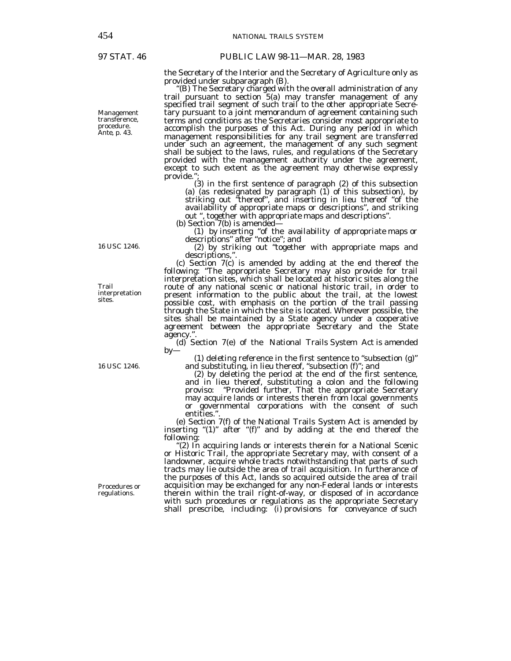97 STAT. 46 PUBLIC LAW 98-11—MAR. 28, 1983

the Secretary of the Interior and the Secretary of Agriculture only as provided under subparagraph (B). provided under subparagraph (B). *"*(B) The Secretary charged with the overall administration of any

trail pursuant to section 5(a) may transfer management of any specified trail segment of such trail to the other appropriate Secretary pursuant to a joint memorandum of agreement containing such terms and conditions as the Secretaries consider most appropriate to accomplish the purposes of this Act. During any period in which management responsibilities for any trail segment are transferred under such an agreement, the management of any such segment shall be subject to the laws, rules, and regulations of the Secretary provided with the management authority under the agreement, except to such extent as the agreement may otherwise expressly provide.*"*;

 (3) in the first sentence of paragraph (2) of this subsection (a) (as redesignated by paragraph  $(1)$  of this subsection), by striking out *"*thereof*"*, and inserting in lieu thereof *"*of the availability of appropriate maps or descriptions*"*, and striking out *"*, together with appropriate maps and descriptions*"*. (b) Section 7(b) is amended—

(1) by inserting *"*of the availability of appropriate maps or descriptions*"* after *"*notice*"*; and

(2) by striking out *"*together with appropriate maps and descriptions,*"*.

 (c) Section 7(c) is amended by adding at the end thereof the following: *"*The appropriate Secretary may also provide for trail interpretation sites, which shall be located at historic sites along the route of any national scenic or national historic trail, in order to present information to the public about the trail, at the lowest possible cost, with emphasis on the portion of the trail passing through the State in which the site is located. Wherever possible, the sites shall be maintained by a State agency under a cooperative agreement between the appropriate Secretary and the State agency.*"*.

 (d) Section 7(e) of the National Trails System Act is amended by—

 (1) deleting reference in the first sentence to *"*subsection (g)*"* and substituting, in lieu thereof, *"*subsection (f)*"*; and

 (2) by deleting the period at the end of the first sentence, and in lieu thereof, substituting a colon and the following proviso: *"Provided further*, That the appropriate Secretary may acquire lands or interests therein from local governments or governmental corporations with the consent of such entities.*"*.

 (e) Section 7(f) of the National Trails System Act is amended by inserting *"*(1)*"* after *"*(f)*"* and by adding at the end thereof the

following: *"*(2) In acquiring lands or interests therein for a National Scenic or Historic Trail, the appropriate Secretary may, with consent of a landowner, acquire whole tracts notwithstanding that parts of such tracts may lie outside the area of trail acquisition. In furtherance of the purposes of this Act, lands so acquired outside the area of trail acquisition may be exchanged for any non-Federal lands or interests therein within the trail right-of-way, or disposed of in accordance with such procedures or regulations as the appropriate Secretary shall prescribe, including: (i) provisions for conveyance of such

Management transference, procedure. *Ante*, p. 43.

16 USC 1246.

Trail interpretation sites.

16 USC 1246.

Procedures or regulations.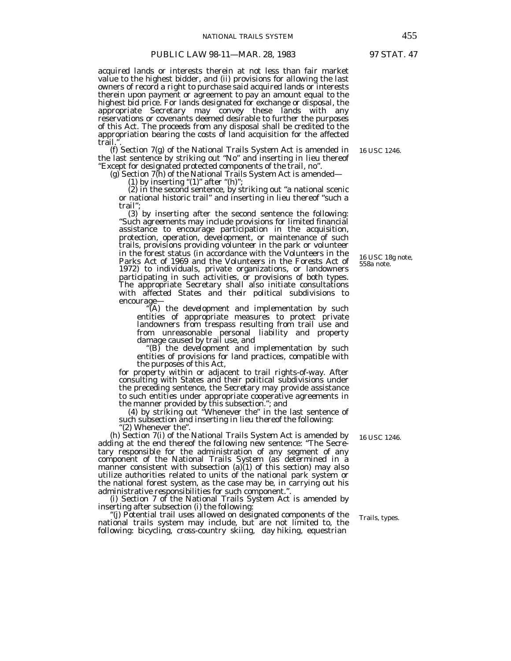#### PUBLIC LAW 98-11-MAR. 28, 1983 97 STAT. 47

acquired lands or interests therein at not less than fair market value to the highest bidder, and (ii) provisions for allowing the last owners of record a right to purchase said acquired lands or interests therein upon payment or agreement to pay an amount equal to the highest bid price. For lands designated for exchange or disposal, the appropriate Secretary may convey these lands with any reservations or covenants deemed desirable to further the purposes of this Act. The proceeds from any disposal shall be credited to the appropriation bearing the costs of land acquisition for the affected

trail.*"*. (f) Section 7(g) of the National Trails System Act is amended in the last sentence by striking out "No" and inserting in lieu thereof<br>
"Except for designated protected components of the trail, no".<br>
(g) Section 7(h) of the National Trails System Act is amended—<br>
(1) by inserting "(1)" a

 (2) in the second sentence, by striking out *"*a national scenic or national historic trail*"* and inserting in lieu thereof *"*such a trail*"*;

 (3) by inserting after the second sentence the following: *"*Such agreements may include provisions for limited financial assistance to encourage participation in the acquisition, protection, operation, development, or maintenance of such trails, provisions providing volunteer in the park or volunteer in the forest status (in accordance with the Volunteers in the Parks Act of 1969 and the Volunteers in the Forests Act of 1972) to individuals, private organizations, or landowners participating in such activities, or provisions of both types. The appropriate Secretary shall also initiate consultations with affected States and their political subdivisions to encourage—

 $^{\alpha}(A)$  the development and implementation by such entities of appropriate measures to protect private landowners from trespass resulting from trail use and from unreasonable personal liability and property damage caused by trail use, and

*"*(B) the development and implementation by such entities of provisions for land practices, compatible with the purposes of this Act,

for property within or adjacent to trail rights-of-way. After consulting with States and their political subdivisions under the preceding sentence, the Secretary may provide assistance to such entities under appropriate cooperative agreements in the manner provided by this subsection.*"*; and

 (4) by striking out *"*Whenever the*"* in the last sentence of such subsection and inserting in lieu thereof the following:<br>"(2) Whenever the".

(h) Section 7(i) of the National Trails System Act is amended by adding at the end thereof the following new sentence: *"*The Secretary responsible for the administration of any segment of any component of the National Trails System (as determined in a manner consistent with subsection  $(a)(1)$  of this section) may also utilize authorities related to units of the national park system or the national forest system, as the case may be, in carrying out his administrative responsibilities for such component.".

(i) Section 7 of the National Trails System Act is amended by inserting after subsection (i) the following:

(i) Potential trail uses allowed on designated components of the national trails system may include, but are not limited to, the following: bicycling, cross-country skiing, day hiking, equestrian

16 USC 18g note, 558a note.

16 USC 1246.

16 USC 1246.

Trails, types.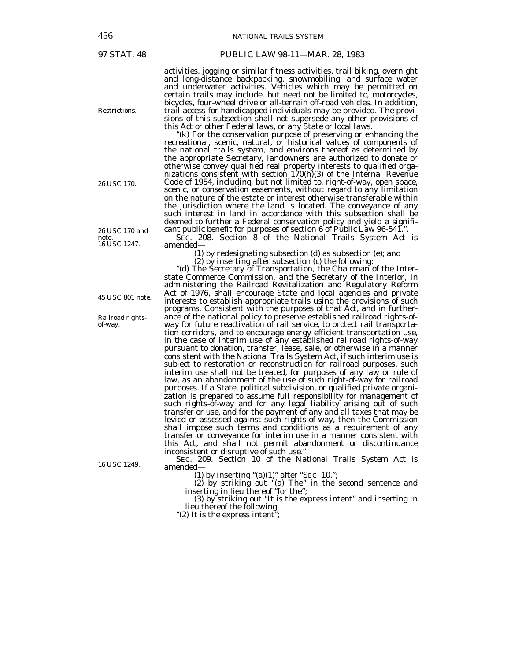Restrictions.

26 USC 170.

26 USC 170 and note. 16 USC 1247.

45 USC 801 note.

Railroad rightsof-way.

16 USC 1249.

#### 97 STAT. 48 PUBLIC LAW 98-11—MAR. 28, 1983

activities, jogging or similar fitness activities, trail biking, overnight and long-distance backpacking, snowmobiling, and surface water and underwater activities. Vehicles which may be permitted on certain trails may include, but need not be limited to, motorcycles, bicycles, four-wheel drive or all-terrain off-road vehicles. In addition, trail access for handicapped individuals may be provided. The provisions of this subsection shall not supersede any other provisions of

this Act or other Federal laws, or any State or local laws. *"*(k) For the conservation purpose of preserving or enhancing the recreational, scenic, natural, or historical values of components of the national trails system, and environs thereof as determined by the appropriate Secretary, landowners are authorized to donate or otherwise convey qualified real property interests to qualified organizations consistent with section 170(h)(3) of the Internal Revenue Code of 1954, including, but not limited to, right-of-way, open space, scenic, or conservation easements, without regard to any limitation on the nature of the estate or interest otherwise transferable within the jurisdiction where the land is located. The conveyance of any such interest in land in accordance with this subsection shall be deemed to further a Federal conservation policy and yield a significant public benefit for purposes of section 6 of Public Law 96-541.*"*.

SEC. 208. Section 8 of the National Trails System Act is amended—

(1) by redesignating subsection (d) as subsection (e); and

 (2) by inserting after subsection (c) the following: *"*(d) The Secretary of Transportation, the Chairman of the Interstate Commerce Commission, and the Secretary of the Interior, in administering the Railroad Revitalization and Regulatory Reform Act of 1976, shall encourage State and local agencies and private interests to establish appropriate trails using the provisions of such programs. Consistent with the purposes of that Act, and in furtherance of the national policy to preserve established railroad rights-ofway for future reactivation of rail service, to protect rail transportation corridors, and to encourage energy efficient transportation use, in the case of interim use of any established railroad rights-of-way pursuant to donation, transfer, lease, sale, or otherwise in a manner consistent with the National Trails System Act, if such interim use is subject to restoration or reconstruction for railroad purposes, such interim use shall not be treated, for purposes of any law or rule of law, as an abandonment of the use of such right-of-way for railroad purposes. If a State, political subdivision, or qualified private organization is prepared to assume full responsibility for management of such rights-of-way and for any legal liability arising out of such transfer or use, and for the payment of any and all taxes that may be levied or assessed against such rights-of-way, then the Commission shall impose such terms and conditions as a requirement of any transfer or conveyance for interim use in a manner consistent with this Act, and shall not permit abandonment or discontinuance

SEC. 209. Section 10 of the National Trails System Act is amended amended— (1) by inserting *"*(a)(1)*"* after *"*SEC. 10.*"*;

 (2) by striking out *"*(a) The*"* in the second sentence and inserting in lieu thereof *"*for the*"*;

 (3) by striking out *"*It is the express intent*"* and inserting in lieu thereof the following: *"*(2) It is the express intent*"*;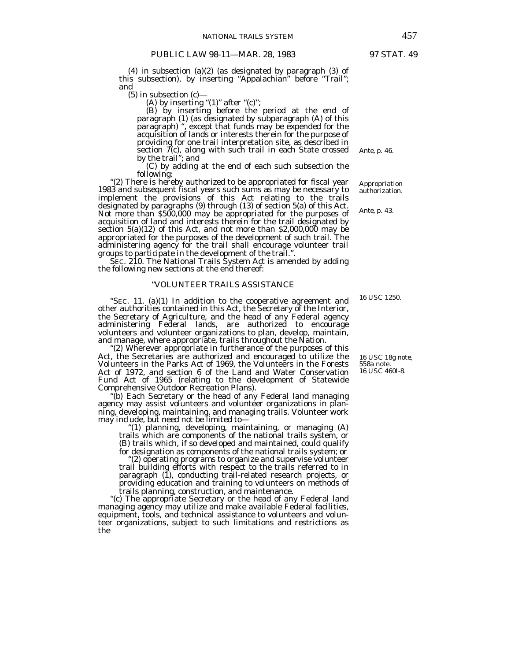(4) in subsection (a)(2) (as designated by paragraph (3) of this subsection), by inserting *"*Appalachian*"* before *"*Trail*"*; and<br>(5) in subsection  $(c)$ –

(A) by inserting  $(1)$  " after  $(0)$ ";

 (B) by inserting before the period at the end of paragraph (1) (as designated by subparagraph (A) of this paragraph) *"*, except that funds may be expended for the acquisition of lands or interests therein for the purpose of providing for one trail interpretation site, as described in section  $\tilde{\mathcal{I}}(c)$ , along with such trail in each State crossed by the trail*"*; and

(C) by adding at the end of each such subsection the

following:<br>"(2) There is hereby authorized to be appropriated for fiscal year 1983 and subsequent fiscal years such sums as may be necessary to implement the provisions of this Act relating to the trails designated by paragraphs (9) through (13) of section 5(a) of this Act. Not more than \$500,000 may be appropriated for the purposes of acquisition of land and interests therein for the trail designated by section 5(a)(12) of this Act, and not more than \$2,000,000 may be appropriated for the purposes of the development of such trail. The administering agency for the trail shall encourage volunteer trail groups to participate in the development of the trail.*"*.

SEC. 210. The National Trails System Act is amended by adding the following new sections at the end thereof:

#### *"*VOLUNTEER TRAILS ASSISTANCE

*"*SEC. 11. (a)(1) In addition to the cooperative agreement and other authorities contained in this Act, the Secretary of the Interior, the Secretary of Agriculture, and the head of any Federal agency administering Federal lands, are authorized to encourage volunteers and volunteer organizations to plan, develop, maintain, and manage, where appropriate, trails throughout the Nation.

*"*(2) Wherever appropriate in furtherance of the purposes of this Act, the Secretaries are authorized and encouraged to utilize the Volunteers in the Parks Act of 1969, the Volunteers in the Forests Act of 1972, and section 6 of the Land and Water Conservation Fund Act of 1965 (relating to the development of Statewide Comprehensive Outdoor Recreation Plans).<br>
"(b) Each Secretary or the head of any Federal land managing

agency may assist volunteers and volunteer organizations in planning, developing, maintaining, and managing trails. Volunteer work may include, but need not be limited to—

*"*(1) planning, developing, maintaining, or managing (A) trails which are components of the national trails system, or  $(B)$  trails which, if so developed and maintained, could qualify for designation as components of the national trails system; or

"(2) operating programs to organize and supervise volunteer trail building efforts with respect to the trails referred to in paragraph (1), conducting trail-related research projects, or providing education and training to volunteers on methods of

trails planning, construction, and maintenance. *"*(c) The appropriate Secretary or the head of any Federal land managing agency may utilize and make available Federal facilities, equipment, tools, and technical assistance to volunteers and volunteer organizations, subject to such limitations and restrictions as the

*Ante*, p. 46.

Appropriation authorization.

*Ante*, p. 43.

16 USC 1250.

16 USC 18g note, 558a note. 16 USC 460*l*-8.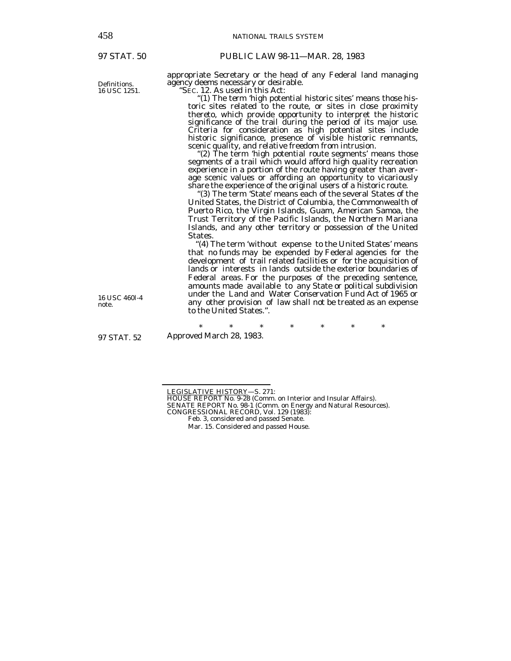97 STAT. 50

Definitions. 16 USC 1251. appropriate Secretary or the head of any Federal land managing agency deems necessary or desirable.

*"*SEC. 12. As used in this Act:

*"*(1) The term *'*high potential historic sites*'* means those historic sites related to the route, or sites in close proximity thereto, which provide opportunity to interpret the historic significance of the trail during the period of its major use. Criteria for consideration as high potential sites include historic significance, presence of visible historic remnants, scenic quality, and relative freedom from intrusion. *"*(2) The term *'*high potential route segments*'* means those

segments of a trail which would afford high quality recreation experience in a portion of the route having greater than average scenic values or affording an opportunity to vicariously share the experience of the original users of a historic route.

"(3) The term State' means each of the several States of the United States, the District of Columbia, the Commonwealth of Puerto Rico, the Virgin Islands, Guam, American Samoa, the Trust Territory of the Pacific Islands, the Northern Mariana Islands, and any other territory or possession of the United States.

 *"*(4) The term *'*without expense to the United States*'* means that no funds may be expended by Federal agencies for the development of trail related facilities or for the acquisition of lands or interests in lands outside the exterior boundaries of Federal areas. For the purposes of the preceding sentence, amounts made available to any State or political subdivision under the Land and Water Conservation Fund Act of 1965 or any other provision of law shall not be treated as an expense to the United States.*"*.

97 STAT. 52

16 USC 460*l*-4

note.

\* \* \* \* \* \* \* Approved March 28, 1983.

- LEGISLATIVE HISTORY—S. 271:<br>HOUSE REPORT No. 9-28 (Comm. on Interior and Insular Affairs).
- SENATE REPORT No. 98-1 (Comm. on Energy and Natural Resources).
- CONGRESSIONAL RECORD, Vol. 129 (1983):
	- Feb. 3, considered and passed Senate.

Mar. 15. Considered and passed House.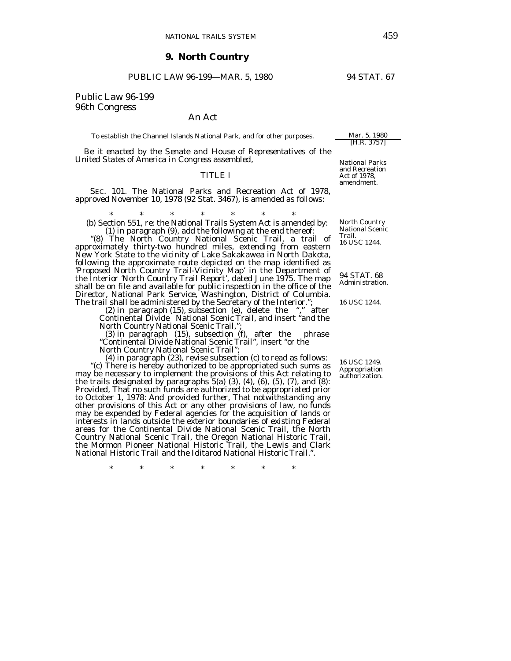#### **9. North Country**

## PUBLIC LAW 96-199-MAR. 5, 1980 94 STAT. 67

# Public Law 96-199 96th Congress

#### An Act

To establish the Channel Islands National Park, and for other purposes. Mar. 5, 1980

 *Be it enacted by the Senate and House of Representatives of the United States of America in Congress assembled,* 

#### TITLE I

 SEC. 101. The National Parks and Recreation Act of 1978, approved November 10, 1978 (92 Stat. 3467), is amended as follows:

\* \* \* \* \* \* \* (b) Section 551, re: the National Trails System Act is amended by:<br>(1) in paragraph (9), add the following at the end thereof:

"(8) The North Country National Scenic Trail, a trail of approximately thirty-two hundred miles, extending from eastern New York State to the vicinity of Lake Sakakawea in North Dakota, following the approximate route depicted on the map identified as 'Proposed North Country Trail-Vicinity Map' in the Department of the Interior 'North Country Trail Report', dated June 1975. The map shall be on file and available for public inspection in the office of the Director, National Park Service, Washington, District of Columbia. The trail shall be administered by the Secretary of the Interior.";

 (2) in paragraph (15), subsection (e), delete the "," after Continental Divide National Scenic Trail, and insert "and the North Country National Scenic Trail,";

 (3) in paragraph (15), subsection (f), after the phrase "Continental Divide National Scenic Trail", insert "or the

North Country National Scenic Trail";

 (4) in paragraph (23), revise subsection (c) to read as follows: "(c) There is hereby authorized to be appropriated such sums as may be necessary to implement the provisions of this Act relating to the trails designated by paragraphs  $5(a)$  (3), (4), (6), (5), (7), and  $(8)$ : *Provided*, That no such funds are authorized to be appropriated prior to October 1, 1978: *And provided further*, That notwithstanding any other provisions of this Act or any other provisions of law, no funds may be expended by Federal agencies for the acquisition of lands or interests in lands outside the exterior boundaries of existing Federal areas for the Continental Divide National Scenic Trail, the North Country National Scenic Trail, the Oregon National Historic Trail, the Mormon Pioneer National Historic Trail, the Lewis and Clark National Historic Trail and the Iditarod National Historic Trail.".

\* \* \* \* \* \* \*

National Parks and Recreation Act of 1978, amendment.

[H.R. 3757]

North Country National Scenic Trail. 16 USC 1244.

94 STAT. 68 Administration.

16 USC 1244.

16 USC 1249. Appropriation authorization.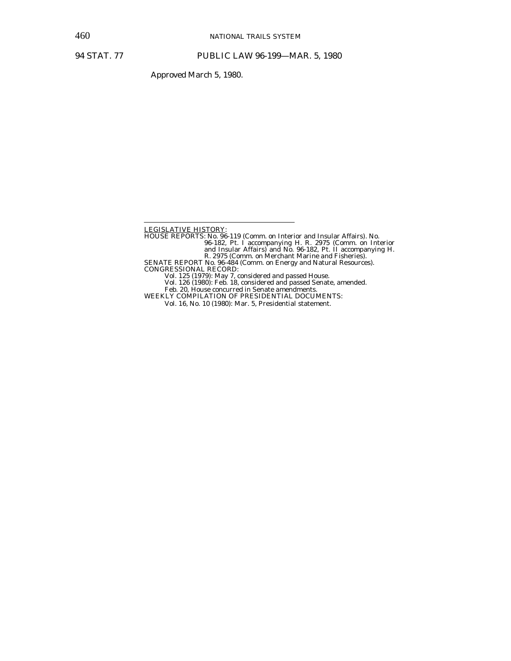Approved March 5, 1980.

LEGISLATIVE HISTORY: HOUSE REPORTS: No. 96-119 (Comm. on Interior and Insular Affairs). No. 96-182, Pt. I accompanying H. R. 2975 (Comm. on Interior and Insular Affairs) and No. 96-182, Pt. II accompanying H. R. 2975 (Comm. on Merchant Marine and Fisheries). SENATE REPORT No. 96-484 (Comm. on Energy and Natural Resources). CONGRESSIONAL RECORD: Vol. 125 (1979): May 7, considered and passed House. Vol. 126 (1980): Feb. 18, considered and passed Senate, amended.

Feb. 20, House concurred in Senate amendments. WEEKLY COMPILATION OF PRESIDENTIAL DOCUMENTS:

Vol. 16, No. 10 (1980): Mar. 5, Presidential statement.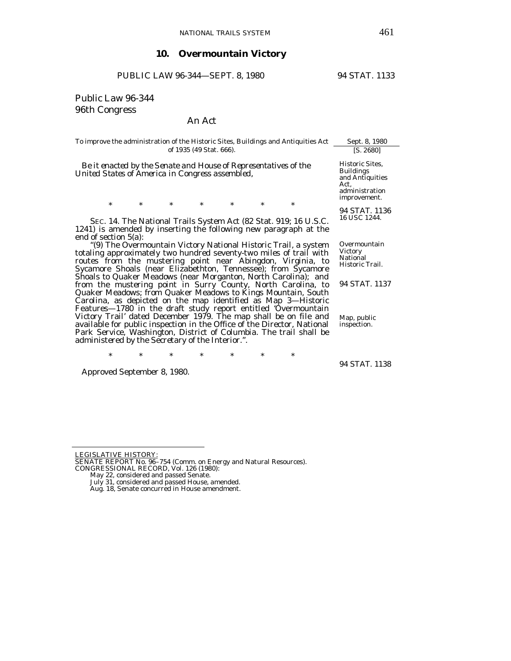# **10. Overmountain Victory**

PUBLIC LAW 96-344-SEPT. 8, 1980 94 STAT. 1133

# Public Law 96-344 96th Congress

# An Act

| To improve the administration of the Historic Sites, Buildings and Antiquities Act                                                                                                                                                                                                                                                      | Sept. 8, 1980                                                                                    |
|-----------------------------------------------------------------------------------------------------------------------------------------------------------------------------------------------------------------------------------------------------------------------------------------------------------------------------------------|--------------------------------------------------------------------------------------------------|
| of 1935 (49 Stat. 666).                                                                                                                                                                                                                                                                                                                 | [S. 2680]                                                                                        |
| Be it enacted by the Senate and House of Representatives of the<br>United States of America in Congress assembled,                                                                                                                                                                                                                      | Historic Sites,<br><b>Buildings</b><br>and Antiquities<br>Act,<br>administration<br>improvement. |
| $\ast$<br>$\ast$<br>*<br>*<br>*<br>$\ast$<br>$\ast$                                                                                                                                                                                                                                                                                     |                                                                                                  |
| SEC. 14. The National Trails System Act (82 Stat. 919; 16 U.S.C.<br>1241) is amended by inserting the following new paragraph at the<br>end of section $5(a)$ :                                                                                                                                                                         | 94 STAT. 1136<br>16 USC 1244.                                                                    |
| "(9) The Overmountain Victory National Historic Trail, a system<br>totaling approximately two hundred seventy-two miles of trail with<br>routes from the mustering point near Abingdon, Virginia, to<br>Sycamore Shoals (near Elizabethton, Tennessee); from Sycamore                                                                   | Overmountain<br><b>Victory</b><br>National<br>Historic Trail.                                    |
| Shoals to Quaker Meadows (near Morganton, North Carolina); and<br>from the mustering point in Surry County, North Carolina, to<br>Quaker Meadows; from Quaker Meadows to Kings Mountain, South<br>Carolina, as depicted on the map identified as Map 3-Historic                                                                         | 94 STAT. 1137                                                                                    |
| Features—1780 in the draft study report entitled 'Overmountain<br>Victory Trail' dated December 1979. The map shall be on file and<br>available for public inspection in the Office of the Director, National<br>Park Service, Washington, District of Columbia. The trail shall be<br>administered by the Secretary of the Interior.". | Map, public<br>inspection.                                                                       |

\* \* \* \* \* \* \*

Approved September 8, 1980.

94 STAT. 1138

LEGISLATIVE HISTORY:

SENATE REPORT No. 96–754 (Comm. on Energy and Natural Resources). CONGRESSIONAL RECORD, Vol. 126 (1980): May 22, considered and passed Senate.

July 31, considered and passed House, amended. Aug. 18, Senate concurred in House amendment.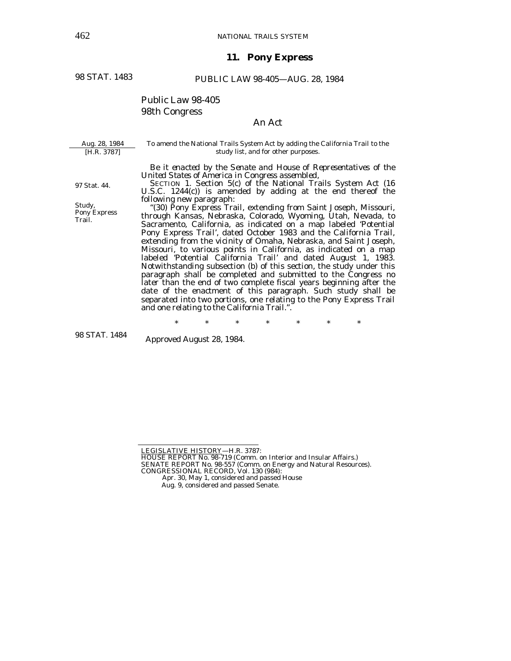# **11. Pony Express**

98 STAT. 1483

### PUBLIC LAW 98-405—AUG. 28, 1984

# Public Law 98-405 98th Congress

# An Act

| Aug. 28, 1984                                    | To amend the National Trails System Act by adding the California Trail to the                                                                                                                                                                                                                                                                                                                                                                                                                                                                                                                                                                                                                                                                                              |
|--------------------------------------------------|----------------------------------------------------------------------------------------------------------------------------------------------------------------------------------------------------------------------------------------------------------------------------------------------------------------------------------------------------------------------------------------------------------------------------------------------------------------------------------------------------------------------------------------------------------------------------------------------------------------------------------------------------------------------------------------------------------------------------------------------------------------------------|
| [H.R. 3787]                                      | study list, and for other purposes.                                                                                                                                                                                                                                                                                                                                                                                                                                                                                                                                                                                                                                                                                                                                        |
| 97 Stat. 44.<br>Study,<br>Pony Express<br>Trail. | Be it enacted by the Senate and House of Representatives of the<br>United States of America in Congress assembled,<br>SECTION 1. Section 5(c) of the National Trails System Act (16<br>U.S.C. $1244(c)$ ) is amended by adding at the end thereof the<br>following new paragraph:<br>"(30) Pony Express Trail, extending from Saint Joseph, Missouri,<br>through Kansas, Nebraska, Colorado, Wyoming, Utah, Nevada, to<br>Sacramento, California, as indicated on a map labeled 'Potential<br>Pony Express Trail', dated October 1983 and the California Trail,<br>extending from the vicinity of Omaha, Nebraska, and Saint Joseph,<br>Missouri, to various points in California, as indicated on a map<br>labeled 'Potential California Trail' and dated August 1, 1983. |

Notwithstanding subsection (b) of this section, the study under this paragraph shall be completed and submitted to the Congress no later than the end of two complete fiscal years beginning after the date of the enactment of this paragraph. Such study shall be separated into two portions, one relating to the Pony Express Trail and one relating to the California Trail.".

\* \* \* \* \* \* \*

98 STAT. 1484

Approved August 28, 1984.

LEGISLATIVE HISTORY—H.R. 3787:<br>HOUSE REPORT No. 98-719 (Comm. on Interior and Insular Affairs.)

SENATE REPORT No. 98-557 (Comm. on Energy and Natural Resources). CONGRESSIONAL RECORD, Vol. 130 (984):

Apr. 30, May 1, considered and passed House

Aug. 9, considered and passed Senate.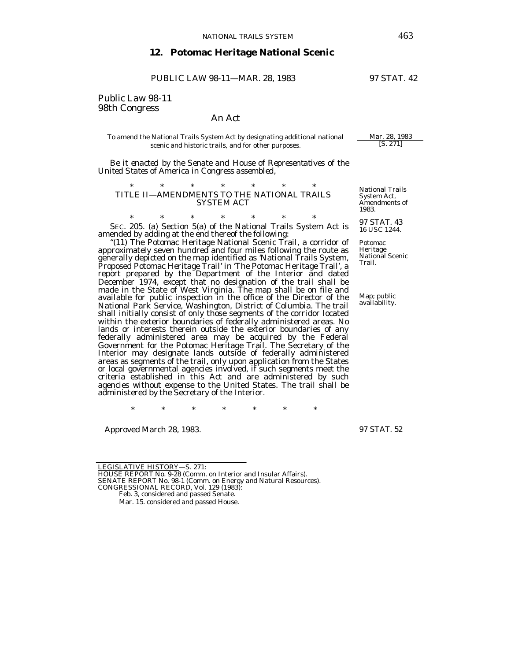#### **12. Potomac Heritage National Scenic**

PUBLIC LAW 98-11-MAR. 28, 1983 97 STAT. 42

Public Law 98-11 98th Congress

#### An Act

#### To amend the National Trails System Act by designating additional national  $\frac{Mar. 28, 1983}{[S. 271]}$ scenic and historic trails, and for other purposes.

 *Be it enacted by the Senate and House of Representatives of the United States of America in Congress assembled*,

#### \* \* \* \* \* \* \* TITLE II—AMENDMENTS TO THE NATIONAL TRAILS SYSTEM ACT

\* \* \* \* \* \* \* SEC. 205. (a) Section 5(a) of the National Trails System Act is amended by adding at the end thereof the following:

*"*(11) The Potomac Heritage National Scenic Trail, a corridor of approximately seven hundred and four miles following the route as generally depicted on the map identified as *'*National Trails System, Proposed Potomac Heritage Trail*'* in *'*The Potomac Heritage Trail*'*, a report prepared by the Department of the Interior and dated December 1974, except that no designation of the trail shall be made in the State of West Virginia. The map shall be on file and available for public inspection in the office of the Director of the National Park Service, Washington, District of Columbia. The trail shall initially consist of only those segments of the corridor located within the exterior boundaries of federally administered areas. No lands or interests therein outside the exterior boundaries of any federally administered area may be acquired by the Federal Government for the Potomac Heritage Trail. The Secretary of the Interior may designate lands outside of federally administered areas as segments of the trail, only upon application from the States or local governmental agencies involved, if such segments meet the criteria established in this Act and are administered by such agencies without expense to the United States. The trail shall be administered by the Secretary of the Interior.

\* \* \* \* \* \* \*

Approved March 28, 1983.

97 STAT. 52

LEGISLATIVE HISTORY—S. 271:

HOUSE REPORT No. 9-28 (Comm. on Interior and Insular Affairs). SENATE REPORT No. 98-1 (Comm. on Energy and Natural Resources). CONGRESSIONAL RECORD, Vol. 129 (1983):

National Trails System Act, Amendments of 1983.

97 STAT. 43 16 USC 1244.

Potomac Heritage National Scenic Trail.

Map; public<br>availability.

Feb. 3, considered and passed Senate.

Mar. 15. considered and passed House.